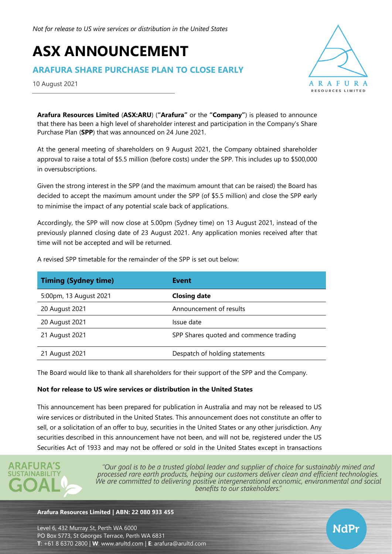# **ASX ANNOUNCEMENT**

# **ARAFURA SHARE PURCHASE PLAN TO CLOSE EARLY**

10 August 2021



NdPr

**Arafura Resources Limited** (**ASX:ARU**) (**"Arafura"** or the **"Company"**) is pleased to announce that there has been a high level of shareholder interest and participation in the Company's Share Purchase Plan (**SPP**) that was announced on 24 June 2021.

At the general meeting of shareholders on 9 August 2021, the Company obtained shareholder approval to raise a total of \$5.5 million (before costs) under the SPP. This includes up to \$500,000 in oversubscriptions.

Given the strong interest in the SPP (and the maximum amount that can be raised) the Board has decided to accept the maximum amount under the SPP (of \$5.5 million) and close the SPP early to minimise the impact of any potential scale back of applications.

Accordingly, the SPP will now close at 5.00pm (Sydney time) on 13 August 2021, instead of the previously planned closing date of 23 August 2021. Any application monies received after that time will not be accepted and will be returned.

| <b>Timing (Sydney time)</b> | <b>Event</b>                           |
|-----------------------------|----------------------------------------|
| 5:00pm, 13 August 2021      | <b>Closing date</b>                    |
| 20 August 2021              | Announcement of results                |
| 20 August 2021              | Issue date                             |
| 21 August 2021              | SPP Shares quoted and commence trading |
| 21 August 2021              | Despatch of holding statements         |

A revised SPP timetable for the remainder of the SPP is set out below:

The Board would like to thank all shareholders for their support of the SPP and the Company.

### **Not for release to US wire services or distribution in the United States**

This announcement has been prepared for publication in Australia and may not be released to US wire services or distributed in the United States. This announcement does not constitute an offer to sell, or a solicitation of an offer to buy, securities in the United States or any other jurisdiction. Any securities described in this announcement have not been, and will not be, registered under the US Securities Act of 1933 and may not be offered or sold in the United States except in transactions



"Our goal is to be a trusted global leader and supplier of choice for sustainably mined and processed rare earth products, helping our customers deliver clean and efficient technologies. We are committed to delivering positive intergenerational economic, environmental and social benefits to our stakeholders."

#### **Arafura Resources Limited | ABN: 22 080 933 455**

Level 6, 432 Murray St, Perth WA 6000 PO Box 5773, St Georges Terrace, Perth WA 6831 **T**: +61 8 6370 2800 | **W**: [www.arultd.com](http://www.arultd.com/) | **E**: [arafura@arultd.com](mailto:arafura@arultd.com)